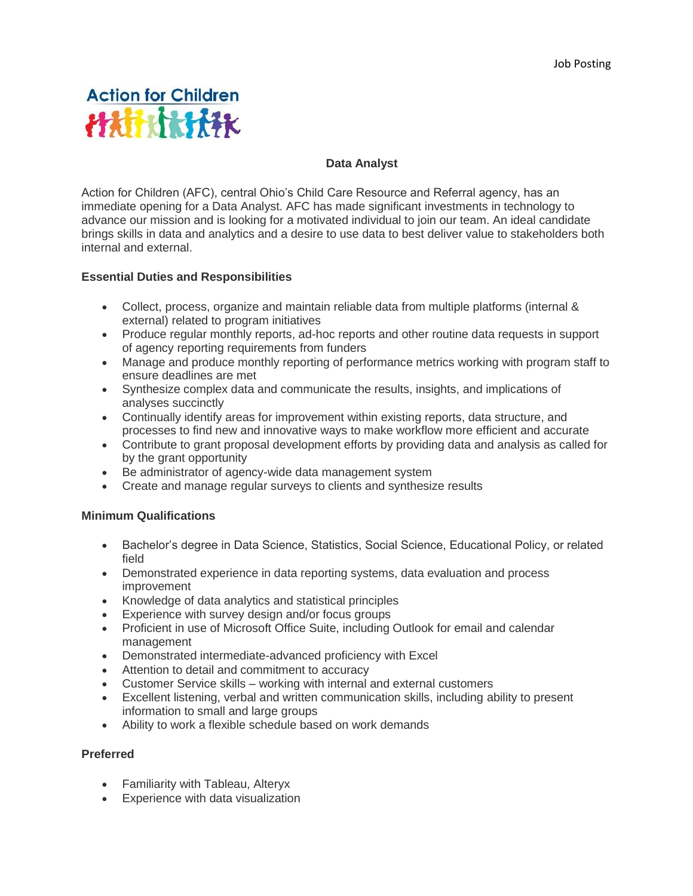# **Action for Children HATHATAK**

#### **Data Analyst**

Action for Children (AFC), central Ohio's Child Care Resource and Referral agency, has an immediate opening for a Data Analyst. AFC has made significant investments in technology to advance our mission and is looking for a motivated individual to join our team. An ideal candidate brings skills in data and analytics and a desire to use data to best deliver value to stakeholders both internal and external.

# **Essential Duties and Responsibilities**

- Collect, process, organize and maintain reliable data from multiple platforms (internal & external) related to program initiatives
- Produce regular monthly reports, ad-hoc reports and other routine data requests in support of agency reporting requirements from funders
- Manage and produce monthly reporting of performance metrics working with program staff to ensure deadlines are met
- Synthesize complex data and communicate the results, insights, and implications of analyses succinctly
- Continually identify areas for improvement within existing reports, data structure, and processes to find new and innovative ways to make workflow more efficient and accurate
- Contribute to grant proposal development efforts by providing data and analysis as called for by the grant opportunity
- Be administrator of agency-wide data management system
- Create and manage regular surveys to clients and synthesize results

# **Minimum Qualifications**

- Bachelor's degree in Data Science, Statistics, Social Science, Educational Policy, or related field
- Demonstrated experience in data reporting systems, data evaluation and process improvement
- Knowledge of data analytics and statistical principles
- Experience with survey design and/or focus groups
- Proficient in use of Microsoft Office Suite, including Outlook for email and calendar management
- Demonstrated intermediate-advanced proficiency with Excel
- Attention to detail and commitment to accuracy
- Customer Service skills working with internal and external customers
- Excellent listening, verbal and written communication skills, including ability to present information to small and large groups
- Ability to work a flexible schedule based on work demands

#### **Preferred**

- Familiarity with Tableau, Alteryx
- Experience with data visualization